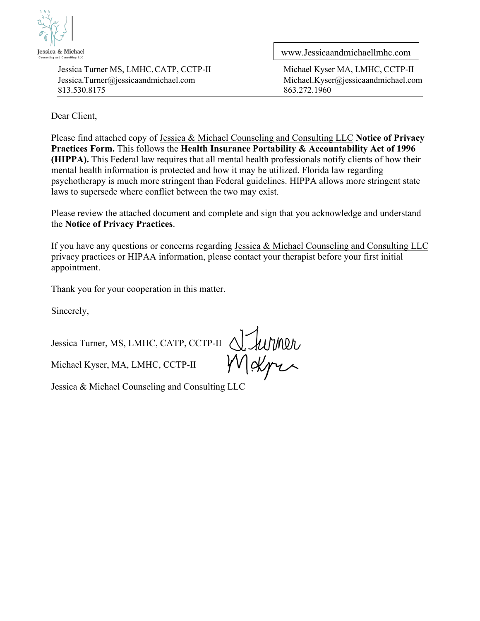

[Jessica.Turner@jessicaandmichael.com](mailto:Jessica.Turner@jessicaandmichael.com) [Michael.Kyser@jessicaandmichael.com](mailto:Michael.Kyser@jessicaandmichael.com) 813.530.8175 863.272.1960

[www.Jessicaandmichaellmhc.com](http://www.jessicaandmichaellmhc.com/)

Jessica Turner MS, LMHC, CATP, CCTP-II Michael Kyser MA, LMHC, CCTP-II

Dear Client,

Please find attached copy of Jessica & Michael Counseling and Consulting LLC **Notice of Privacy Practices Form.** This follows the **Health Insurance Portability & Accountability Act of 1996 (HIPPA).** This Federal law requires that all mental health professionals notify clients of how their mental health information is protected and how it may be utilized. Florida law regarding psychotherapy is much more stringent than Federal guidelines. HIPPA allows more stringent state laws to supersede where conflict between the two may exist.

Please review the attached document and complete and sign that you acknowledge and understand the **Notice of Privacy Practices**.

If you have any questions or concerns regarding Jessica & Michael Counseling and Consulting LLC privacy practices or HIPAA information, please contact your therapist before your first initial appointment.

Thank you for your cooperation in this matter.

Sincerely,

Jessica Turner, MS, LMHC, CATP, CCTP-II

Michael Kyser, MA, LMHC, CCTP-II

Jessica & Michael Counseling and Consulting LLC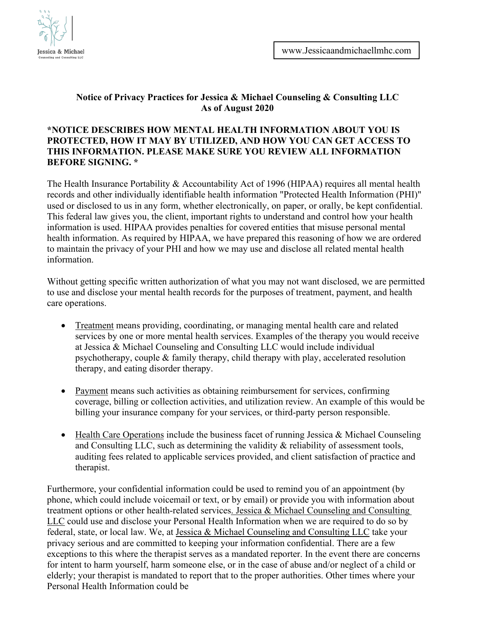

## **Notice of Privacy Practices for Jessica & Michael Counseling & Consulting LLC As of August 2020**

## **\*NOTICE DESCRIBES HOW MENTAL HEALTH INFORMATION ABOUT YOU IS PROTECTED, HOW IT MAY BY UTILIZED, AND HOW YOU CAN GET ACCESS TO THIS INFORMATION. PLEASE MAKE SURE YOU REVIEW ALL INFORMATION BEFORE SIGNING. \***

The Health Insurance Portability & Accountability Act of 1996 (HIPAA) requires all mental health records and other individually identifiable health information "Protected Health Information (PHI)" used or disclosed to us in any form, whether electronically, on paper, or orally, be kept confidential. This federal law gives you, the client, important rights to understand and control how your health information is used. HIPAA provides penalties for covered entities that misuse personal mental health information. As required by HIPAA, we have prepared this reasoning of how we are ordered to maintain the privacy of your PHI and how we may use and disclose all related mental health information.

Without getting specific written authorization of what you may not want disclosed, we are permitted to use and disclose your mental health records for the purposes of treatment, payment, and health care operations.

- Treatment means providing, coordinating, or managing mental health care and related services by one or more mental health services. Examples of the therapy you would receive at Jessica & Michael Counseling and Consulting LLC would include individual psychotherapy, couple & family therapy, child therapy with play, accelerated resolution therapy, and eating disorder therapy.
- Payment means such activities as obtaining reimbursement for services, confirming coverage, billing or collection activities, and utilization review. An example of this would be billing your insurance company for your services, or third-party person responsible.
- Health Care Operations include the business facet of running Jessica & Michael Counseling and Consulting LLC, such as determining the validity & reliability of assessment tools, auditing fees related to applicable services provided, and client satisfaction of practice and therapist.

Furthermore, your confidential information could be used to remind you of an appointment (by phone, which could include voicemail or text, or by email) or provide you with information about treatment options or other health-related services. Jessica & Michael Counseling and Consulting LLC could use and disclose your Personal Health Information when we are required to do so by federal, state, or local law. We, at Jessica & Michael Counseling and Consulting LLC take your privacy serious and are committed to keeping your information confidential. There are a few exceptions to this where the therapist serves as a mandated reporter. In the event there are concerns for intent to harm yourself, harm someone else, or in the case of abuse and/or neglect of a child or elderly; your therapist is mandated to report that to the proper authorities. Other times where your Personal Health Information could be